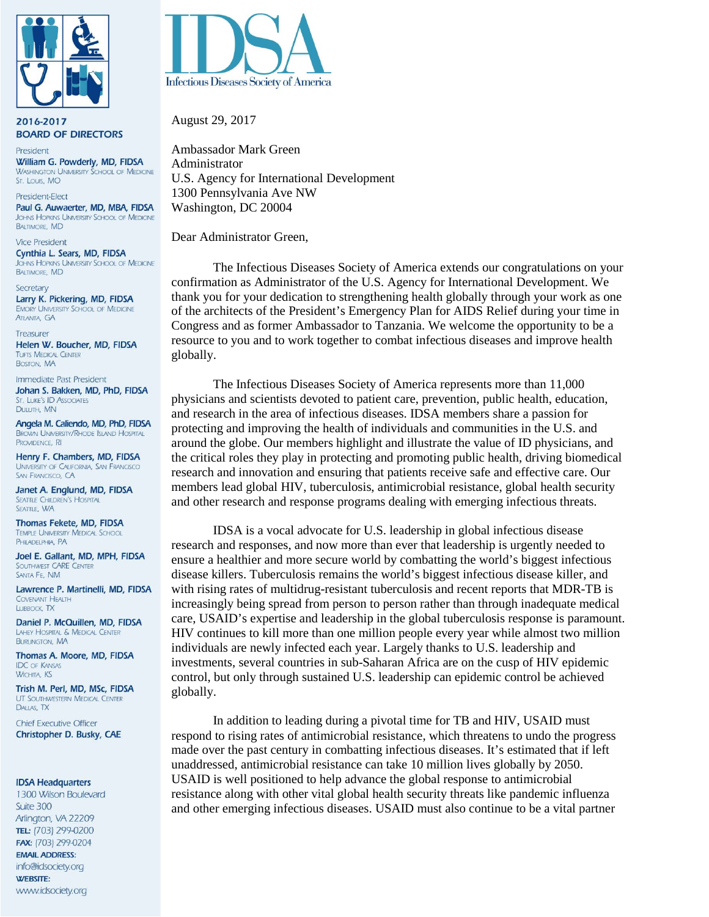

2016-2017 **BOARD OF DIRECTORS** 

President William G. Powderly, MD, FIDSA **WASHINGTON UNIVERSITY SCHOOL OF MEDICINE** St. Louis, MO

President-Elect Paul G. Auwaerter, MD, MBA, FIDSA JOHNS HOPKINS UNIVERSITY SCHOOL OF MEDICINE **BALTIMORE, MD** 

**Vice President** Cynthia L. Sears, MD, FIDSA JOHNS HOPKINS UNIVERSITY SCHOOL OF MEDICINE **BALTIMORE, MD** 

Secretary Larry K. Pickering, MD, FIDSA **EMORY UNIVERSITY SCHOOL OF MEDICINE ATLANTA, GA** 

Treasurer Helen W. Boucher, MD, FIDSA **TUFTS MEDICAL CENTER** BOSTON, MA

Immediate Past President Johan S. Bakken, MD, PhD, FIDSA ST. LUKE'S ID ASSOCIATES DULUTH, MN

Angela M. Caliendo, MD, PhD, FIDSA **BROWN UNIVERSITY/RHODE ISLAND HOSPITAL** PROVIDENCE, RI

Henry F. Chambers, MD, FIDSA UNIVERSITY OF CALIFORNIA, SAN FRANCISCO SAN FRANCISCO, CA

Janet A. Englund, MD, FIDSA **SEATTLE CHILDREN'S HOSPITAL** SEATTLE, WA

Thomas Fekete, MD, FIDSA **TEMPLE UNIVERSITY MEDICAL SCHOOL** PHILADELPHIA, PA

Joel E. Gallant, MD, MPH, FIDSA SOUTHWEST CARE CENTER SANTA FE, NM

Lawrence P. Martinelli, MD, FIDSA COVENANT HEALTH LUBBOCK, TX

Daniel P. McQuillen, MD, FIDSA LAHEY HOSPITAL & MEDICAL CENTER **BURLINGTON, MA** 

Thomas A. Moore, MD, FIDSA **IDC** OF KANSAS **WICHITA, KS** 

Trish M. Perl, MD, MSc, FIDSA **UT SOUTHWESTERN MEDICAL CENTER** DALLAS, TX

**Chief Executive Officer** Christopher D. Busky, CAE

## **IDSA Headquarters**

1300 Wilson Boulevard Suite 300 Arlington, VA 22209 TEL: (703) 299-0200 FAX: (703) 299-0204 **EMAIL ADDRESS:** info@idsociety.org **WEBSITE:** www.idsociety.org



August 29, 2017

Ambassador Mark Green Administrator U.S. Agency for International Development 1300 Pennsylvania Ave NW Washington, DC 20004

Dear Administrator Green,

The Infectious Diseases Society of America extends our congratulations on your confirmation as Administrator of the U.S. Agency for International Development. We thank you for your dedication to strengthening health globally through your work as one of the architects of the President's Emergency Plan for AIDS Relief during your time in Congress and as former Ambassador to Tanzania. We welcome the opportunity to be a resource to you and to work together to combat infectious diseases and improve health globally.

The Infectious Diseases Society of America represents more than 11,000 physicians and scientists devoted to patient care, prevention, public health, education, and research in the area of infectious diseases. IDSA members share a passion for protecting and improving the health of individuals and communities in the U.S. and around the globe. Our members highlight and illustrate the value of ID physicians, and the critical roles they play in protecting and promoting public health, driving biomedical research and innovation and ensuring that patients receive safe and effective care. Our members lead global HIV, tuberculosis, antimicrobial resistance, global health security and other research and response programs dealing with emerging infectious threats.

IDSA is a vocal advocate for U.S. leadership in global infectious disease research and responses, and now more than ever that leadership is urgently needed to ensure a healthier and more secure world by combatting the world's biggest infectious disease killers. Tuberculosis remains the world's biggest infectious disease killer, and with rising rates of multidrug-resistant tuberculosis and recent reports that MDR-TB is increasingly being spread from person to person rather than through inadequate medical care, USAID's expertise and leadership in the global tuberculosis response is paramount. HIV continues to kill more than one million people every year while almost two million individuals are newly infected each year. Largely thanks to U.S. leadership and investments, several countries in sub-Saharan Africa are on the cusp of HIV epidemic control, but only through sustained U.S. leadership can epidemic control be achieved globally.

In addition to leading during a pivotal time for TB and HIV, USAID must respond to rising rates of antimicrobial resistance, which threatens to undo the progress made over the past century in combatting infectious diseases. It's estimated that if left unaddressed, antimicrobial resistance can take 10 million lives globally by 2050. USAID is well positioned to help advance the global response to antimicrobial resistance along with other vital global health security threats like pandemic influenza and other emerging infectious diseases. USAID must also continue to be a vital partner